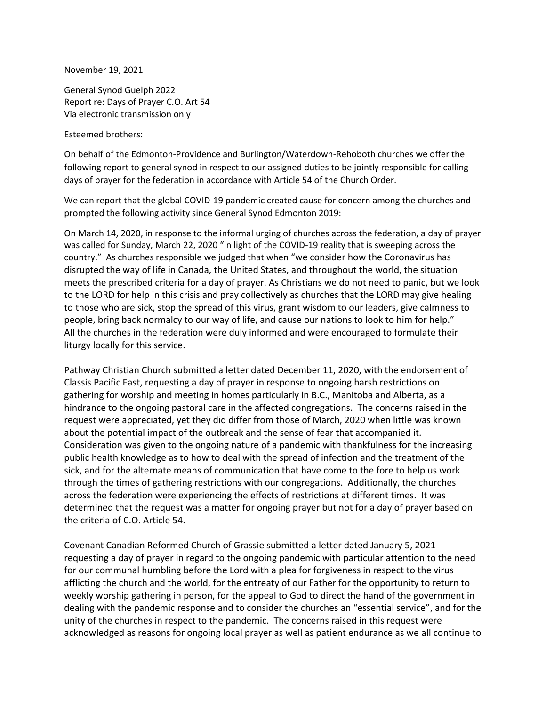November 19, 2021

General Synod Guelph 2022 Report re: Days of Prayer C.O. Art 54 Via electronic transmission only

Esteemed brothers:

On behalf of the Edmonton-Providence and Burlington/Waterdown-Rehoboth churches we offer the following report to general synod in respect to our assigned duties to be jointly responsible for calling days of prayer for the federation in accordance with Article 54 of the Church Order.

We can report that the global COVID-19 pandemic created cause for concern among the churches and prompted the following activity since General Synod Edmonton 2019:

On March 14, 2020, in response to the informal urging of churches across the federation, a day of prayer was called for Sunday, March 22, 2020 "in light of the COVID-19 reality that is sweeping across the country." As churches responsible we judged that when "we consider how the Coronavirus has disrupted the way of life in Canada, the United States, and throughout the world, the situation meets the prescribed criteria for a day of prayer. As Christians we do not need to panic, but we look to the LORD for help in this crisis and pray collectively as churches that the LORD may give healing to those who are sick, stop the spread of this virus, grant wisdom to our leaders, give calmness to people, bring back normalcy to our way of life, and cause our nations to look to him for help." All the churches in the federation were duly informed and were encouraged to formulate their liturgy locally for this service.

Pathway Christian Church submitted a letter dated December 11, 2020, with the endorsement of Classis Pacific East, requesting a day of prayer in response to ongoing harsh restrictions on gathering for worship and meeting in homes particularly in B.C., Manitoba and Alberta, as a hindrance to the ongoing pastoral care in the affected congregations. The concerns raised in the request were appreciated, yet they did differ from those of March, 2020 when little was known about the potential impact of the outbreak and the sense of fear that accompanied it. Consideration was given to the ongoing nature of a pandemic with thankfulness for the increasing public health knowledge as to how to deal with the spread of infection and the treatment of the sick, and for the alternate means of communication that have come to the fore to help us work through the times of gathering restrictions with our congregations. Additionally, the churches across the federation were experiencing the effects of restrictions at different times. It was determined that the request was a matter for ongoing prayer but not for a day of prayer based on the criteria of C.O. Article 54.

Covenant Canadian Reformed Church of Grassie submitted a letter dated January 5, 2021 requesting a day of prayer in regard to the ongoing pandemic with particular attention to the need for our communal humbling before the Lord with a plea for forgiveness in respect to the virus afflicting the church and the world, for the entreaty of our Father for the opportunity to return to weekly worship gathering in person, for the appeal to God to direct the hand of the government in dealing with the pandemic response and to consider the churches an "essential service", and for the unity of the churches in respect to the pandemic. The concerns raised in this request were acknowledged as reasons for ongoing local prayer as well as patient endurance as we all continue to